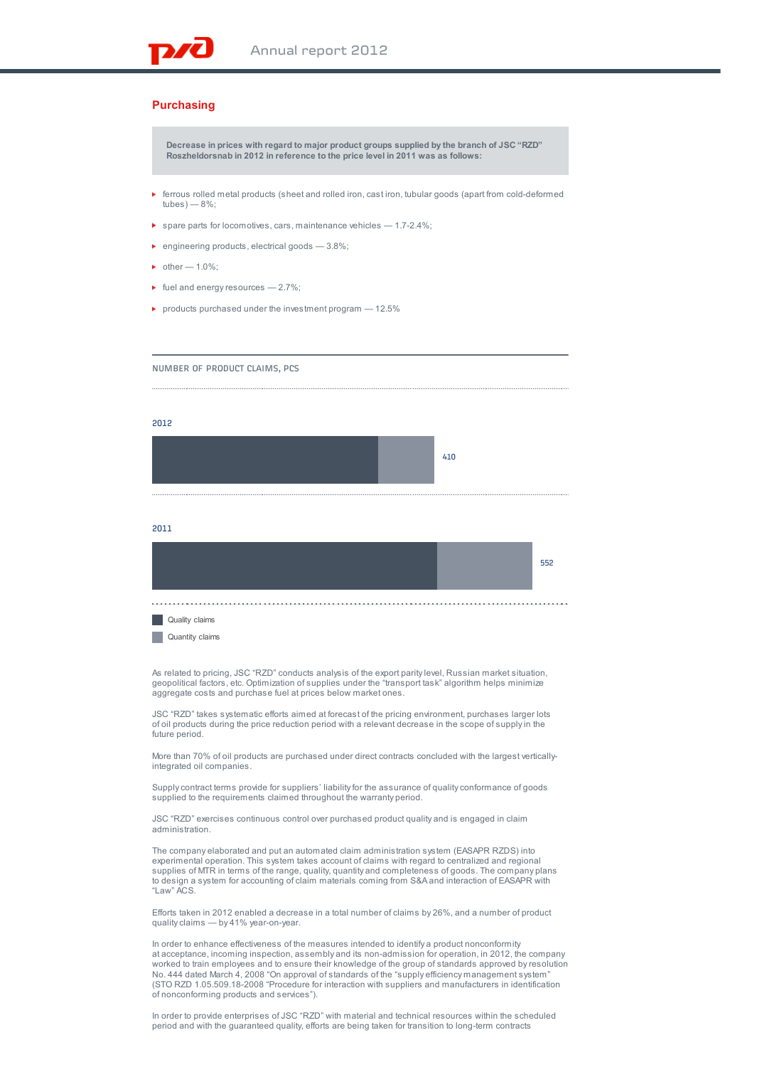## **Purchasing**

**Decrease in prices with regard to major product groups supplied by the branch of JSC "RZD" Roszheldorsnab in 2012 in reference to the price level in 2011 was as follows:**

- ferrous rolled metal products (sheet and rolled iron, cast iron, tubular goods (apart from cold-deformed  $tubes) - 8%$ ;
- $\blacktriangleright$  spare parts for locomotives, cars, maintenance vehicles  $-1.7$ -2.4%;
- $\blacktriangleright$  engineering products, electrical goods  $-3.8\%$ ;
- $\triangleright$  other  $-1.0\%$
- $\blacktriangleright$  fuel and energy resources  $-2.7\%$ ;
- $\blacktriangleright$  products purchased under the investment program  $-12.5\%$

NUMBER OF PRODUCT CLAIMS, PCS



2011



**Quality claims** 

| Quantity claims |  |
|-----------------|--|
|-----------------|--|

As related to pricing, JSC "RZD" conducts analysis of the export parity level, Russian market situation, geopolitical factors, etc. Optimization of supplies under the "transport task" algorithm helps minimize aggregate costs and purchase fuel at prices below market ones.

JSC "RZD" takes systematic efforts aimed at forecast of the pricing environment, purchases larger lots of oil products during the price reduction period with a relevant decrease in the scope of supply in the future period.

More than 70% of oil products are purchased under direct contracts concluded with the largest verticallyintegrated oil companies.

Supply contract terms provide for suppliers' liability for the assurance of quality conformance of goods supplied to the requirements claimed throughout the warranty period.

JSC "RZD" exercises continuous control over purchased product quality and is engaged in claim administration.

The company elaborated and put an automated claim administration system (EASAPR RZDS) into experimental operation. This system takes account of claims with regard to centralized and regional supplies of MTR in terms of the range, quality, quantity and completeness of goods. The company plans to design a system for accounting of claim materials coming from S&A and interaction of EASAPR with "Law" ACS.

Efforts taken in 2012 enabled a decrease in a total number of claims by 26%, and a number of product quality claims — by 41% year-on-year.

In order to enhance effectiveness of the measures intended to identify a product nonconformity at acceptance, incoming inspection, assembly and its non-admission for operation, in 2012, the company worked to train employees and to ensure their knowledge of the group of standards approved by resolution No. 444 dated March 4, 2008 "On approval of standards of the "supply efficiency management system" (STO RZD 1.05.509.18-2008 "Procedure for interaction with suppliers and manufacturers in identification of nonconforming products and services").

In order to provide enterprises of JSC "RZD" with material and technical resources within the scheduled period and with the guaranteed quality, efforts are being taken for transition to long-term contracts